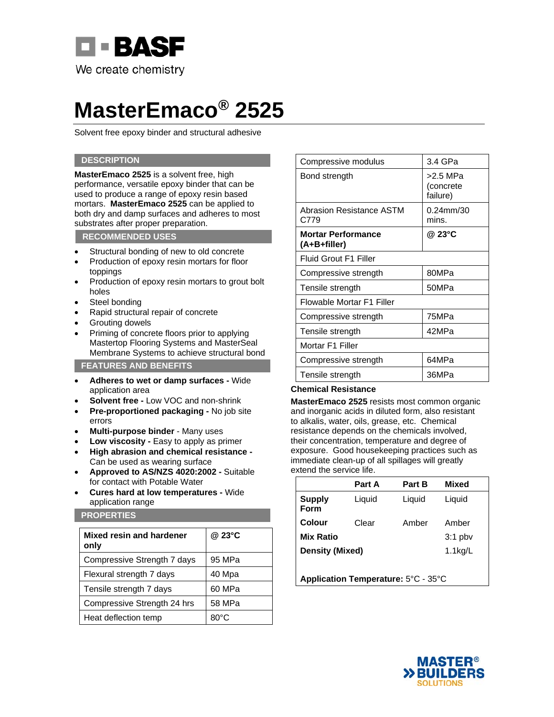

# **MasterEmaco® 2525**

Solvent free epoxy binder and structural adhesive

## **DESCRIPTION**

**MasterEmaco 2525** is a solvent free, high performance, versatile epoxy binder that can be used to produce a range of epoxy resin based mortars. **MasterEmaco 2525** can be applied to both dry and damp surfaces and adheres to most substrates after proper preparation.

### **RECOMMENDED USES**

- Structural bonding of new to old concrete
- Production of epoxy resin mortars for floor toppings
- Production of epoxy resin mortars to grout bolt holes
- Steel bonding
- Rapid structural repair of concrete
- Grouting dowels
- Priming of concrete floors prior to applying Mastertop Flooring Systems and MasterSeal Membrane Systems to achieve structural bond

**FEATURES AND BENEFITS** 

- **Adheres to wet or damp surfaces** Wide application area
- **Solvent free** Low VOC and non-shrink
- **Pre-proportioned packaging** No job site errors
- **Multi-purpose binder**  Many uses
- Low viscosity Easy to apply as primer
- **High abrasion and chemical resistance**  Can be used as wearing surface
- **Approved to AS/NZS 4020:2002** Suitable for contact with Potable Water
- **Cures hard at low temperatures** Wide application range

## **PROPERTIES**

| Mixed resin and hardener<br>only | @ 23°C |
|----------------------------------|--------|
| Compressive Strength 7 days      | 95 MPa |
| Flexural strength 7 days         | 40 Mpa |
| Tensile strength 7 days          | 60 MPa |
| Compressive Strength 24 hrs      | 58 MPa |
| Heat deflection temp             | 80°C   |

| Compressive modulus                       | $3.4$ GPa                           |
|-------------------------------------------|-------------------------------------|
| Bond strength                             | $>2.5$ MPa<br>(concrete<br>failure) |
| Abrasion Resistance ASTM<br>C779          | 0.24mm/30<br>mins.                  |
| <b>Mortar Performance</b><br>(A+B+filler) | @ 23°C                              |
| Fluid Grout F1 Filler                     |                                     |
| Compressive strength                      | 80MPa                               |
| Tensile strength                          | 50MPa                               |
| Flowable Mortar F1 Filler                 |                                     |
| Compressive strength                      | 75MPa                               |
| Tensile strength                          | 42MPa                               |
| Mortar F1 Filler                          |                                     |
| Compressive strength                      | 64MPa                               |
| Tensile strength                          | 36MPa                               |

## **Chemical Resistance**

**MasterEmaco 2525** resists most common organic and inorganic acids in diluted form, also resistant to alkalis, water, oils, grease, etc. Chemical resistance depends on the chemicals involved, their concentration, temperature and degree of exposure. Good housekeeping practices such as immediate clean-up of all spillages will greatly extend the service life.

|                                     | Part A | Part B     | <b>Mixed</b> |
|-------------------------------------|--------|------------|--------------|
| <b>Supply</b><br>Form               | Liquid | Liquid     | Liquid       |
| Colour                              | Clear  | Amber      | Amber        |
| <b>Mix Ratio</b>                    |        |            | $3:1$ pbv    |
| <b>Density (Mixed)</b>              |        | $1.1$ kg/L |              |
|                                     |        |            |              |
| Application Temperature: 5°C - 35°C |        |            |              |